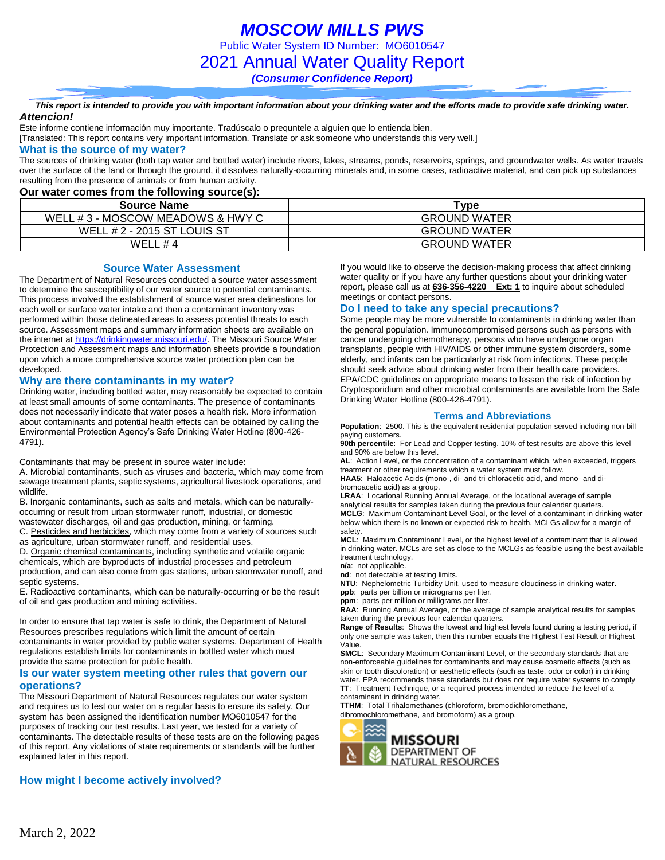*MOSCOW MILLS PWS* Public Water System ID Number: MO6010547 2021 Annual Water Quality Report *(Consumer Confidence Report)*

*This report is intended to provide you with important information about your drinking water and the efforts made to provide safe drinking water. Attencion!*

Este informe contiene información muy importante. Tradúscalo o prequntele a alguien que lo entienda bien.

[Translated: This report contains very important information. Translate or ask someone who understands this very well.]

### **What is the source of my water?**

The sources of drinking water (both tap water and bottled water) include rivers, lakes, streams, ponds, reservoirs, springs, and groundwater wells. As water travels over the surface of the land or through the ground, it dissolves naturally-occurring minerals and, in some cases, radioactive material, and can pick up substances resulting from the presence of animals or from human activity.

### **Our water comes from the following source(s):**

| Source Name                      | Type                |
|----------------------------------|---------------------|
| WELL #3 - MOSCOW MEADOWS & HWY C | <b>GROUND WATER</b> |
| WELL # 2 - 2015 ST LOUIS ST      | <b>GROUND WATER</b> |
| WFII #4                          | <b>GROUND WATER</b> |

**Source Water Assessment**

The Department of Natural Resources conducted a source water assessment to determine the susceptibility of our water source to potential contaminants. This process involved the establishment of source water area delineations for each well or surface water intake and then a contaminant inventory was performed within those delineated areas to assess potential threats to each source. Assessment maps and summary information sheets are available on the internet a[t https://drinkingwater.missouri.edu/.](https://drinkingwater.missouri.edu/) The Missouri Source Water Protection and Assessment maps and information sheets provide a foundation upon which a more comprehensive source water protection plan can be developed.

#### **Why are there contaminants in my water?**

Drinking water, including bottled water, may reasonably be expected to contain at least small amounts of some contaminants. The presence of contaminants does not necessarily indicate that water poses a health risk. More information about contaminants and potential health effects can be obtained by calling the Environmental Protection Agency's Safe Drinking Water Hotline (800-426- 4791).

Contaminants that may be present in source water include:

A. Microbial contaminants, such as viruses and bacteria, which may come from sewage treatment plants, septic systems, agricultural livestock operations, and wildlife.

B. Inorganic contaminants, such as salts and metals, which can be naturallyoccurring or result from urban stormwater runoff, industrial, or domestic wastewater discharges, oil and gas production, mining, or farming.

C. Pesticides and herbicides, which may come from a variety of sources such

as agriculture, urban stormwater runoff, and residential uses.

D. Organic chemical contaminants, including synthetic and volatile organic chemicals, which are byproducts of industrial processes and petroleum production, and can also come from gas stations, urban stormwater runoff, and septic systems.

E. Radioactive contaminants, which can be naturally-occurring or be the result of oil and gas production and mining activities.

In order to ensure that tap water is safe to drink, the Department of Natural Resources prescribes regulations which limit the amount of certain contaminants in water provided by public water systems. Department of Health regulations establish limits for contaminants in bottled water which must provide the same protection for public health.

### **Is our water system meeting other rules that govern our operations?**

The Missouri Department of Natural Resources regulates our water system and requires us to test our water on a regular basis to ensure its safety. Our system has been assigned the identification number MO6010547 for the purposes of tracking our test results. Last year, we tested for a variety of contaminants. The detectable results of these tests are on the following pages of this report. Any violations of state requirements or standards will be further explained later in this report.

### **How might I become actively involved?**

If you would like to observe the decision-making process that affect drinking water quality or if you have any further questions about your drinking water report, please call us at **636-356-4220 Ext: 1** to inquire about scheduled meetings or contact persons.

### **Do I need to take any special precautions?**

Some people may be more vulnerable to contaminants in drinking water than the general population. Immunocompromised persons such as persons with cancer undergoing chemotherapy, persons who have undergone organ transplants, people with HIV/AIDS or other immune system disorders, some elderly, and infants can be particularly at risk from infections. These people should seek advice about drinking water from their health care providers. EPA/CDC guidelines on appropriate means to lessen the risk of infection by Cryptosporidium and other microbial contaminants are available from the Safe Drinking Water Hotline (800-426-4791).

#### **Terms and Abbreviations**

**Population**: 2500. This is the equivalent residential population served including non-bill paying customers.

**90th percentile**: For Lead and Copper testing. 10% of test results are above this level and 90% are below this level.

**AL**: Action Level, or the concentration of a contaminant which, when exceeded, triggers treatment or other requirements which a water system must follow.

**HAA5**: Haloacetic Acids (mono-, di- and tri-chloracetic acid, and mono- and dibromoacetic acid) as a group.

**LRAA**: Locational Running Annual Average, or the locational average of sample analytical results for samples taken during the previous four calendar quarters.

**MCLG**: Maximum Contaminant Level Goal, or the level of a contaminant in drinking water below which there is no known or expected risk to health. MCLGs allow for a margin of safety.

**MCL**: Maximum Contaminant Level, or the highest level of a contaminant that is allowed in drinking water. MCLs are set as close to the MCLGs as feasible using the best available treatment technology.

**n/a**: not applicable.

**nd**: not detectable at testing limits.

**NTU**: Nephelometric Turbidity Unit, used to measure cloudiness in drinking water. **ppb**: parts per billion or micrograms per liter.

**ppm**: parts per million or milligrams per liter.

**RAA**: Running Annual Average, or the average of sample analytical results for samples taken during the previous four calendar quarters.

**Range of Results**: Shows the lowest and highest levels found during a testing period, if only one sample was taken, then this number equals the Highest Test Result or Highest Value.

**SMCL**: Secondary Maximum Contaminant Level, or the secondary standards that are non-enforceable guidelines for contaminants and may cause cosmetic effects (such as skin or tooth discoloration) or aesthetic effects (such as taste, odor or color) in drinking water. EPA recommends these standards but does not require water systems to comply **TT**: Treatment Technique, or a required process intended to reduce the level of a contaminant in drinking water.

**TTHM**: Total Trihalomethanes (chloroform, bromodichloromethane, dibromochloromethane, and bromoform) as a group.

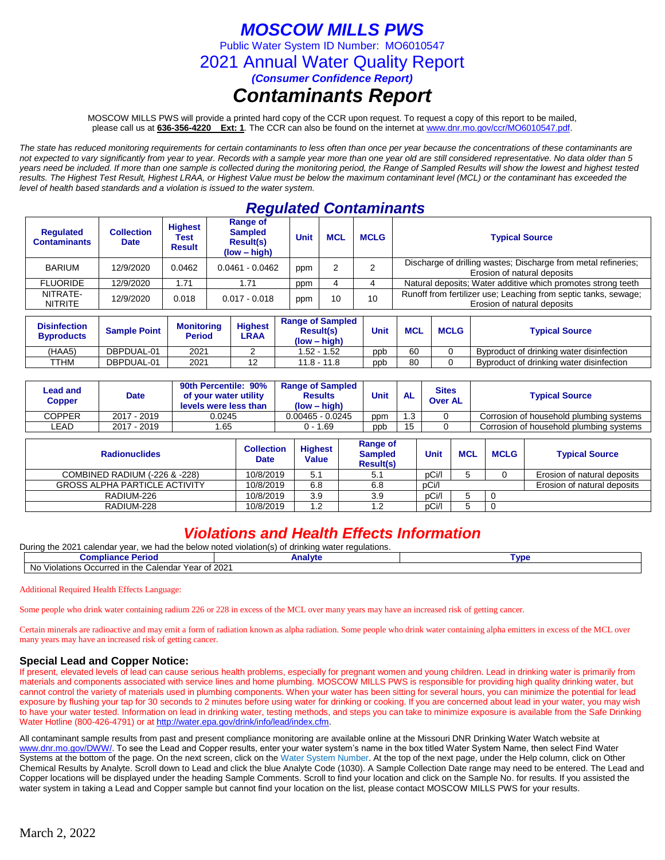# *MOSCOW MILLS PWS*

Public Water System ID Number: MO6010547

2021 Annual Water Quality Report

*(Consumer Confidence Report)*

## *Contaminants Report*

MOSCOW MILLS PWS will provide a printed hard copy of the CCR upon request. To request a copy of this report to be mailed, please call us at **636-356-4220 Ext: 1***.* The CCR can also be found on the internet at www.dnr.mo.gov/ccr/MO6010547.pdf.

*The state has reduced monitoring requirements for certain contaminants to less often than once per year because the concentrations of these contaminants are not expected to vary significantly from year to year. Records with a sample year more than one year old are still considered representative. No data older than 5 years need be included. If more than one sample is collected during the monitoring period, the Range of Sampled Results will show the lowest and highest tested results. The Highest Test Result, Highest LRAA, or Highest Value must be below the maximum contaminant level (MCL) or the contaminant has exceeded the level of health based standards and a violation is issued to the water system.* 

## *Regulated Contaminants*

| <b>Regulated</b><br><b>Contaminants</b> | <b>Collection</b><br><b>Date</b> | <b>Highest</b><br>Test<br><b>Result</b> | <b>Range of</b><br><b>Sampled</b><br>Result(s)<br>$(low - high)$ | <b>Unit</b> | <b>MCL</b> | <b>MCLG</b> | <b>Typical Source</b>                                                                          |
|-----------------------------------------|----------------------------------|-----------------------------------------|------------------------------------------------------------------|-------------|------------|-------------|------------------------------------------------------------------------------------------------|
| <b>BARIUM</b>                           | 12/9/2020                        | 0.0462                                  | $0.0461 - 0.0462$                                                | ppm         |            |             | Discharge of drilling wastes; Discharge from metal refineries;<br>Erosion of natural deposits  |
| <b>FLUORIDE</b>                         | 12/9/2020                        | 71،،                                    | 1.71                                                             | ppm         |            |             | Natural deposits; Water additive which promotes strong teeth                                   |
| NITRATE-<br><b>NITRITE</b>              | 12/9/2020                        | 0.018                                   | $0.017 - 0.018$                                                  | ppm         | 10         | 10          | Runoff from fertilizer use; Leaching from septic tanks, sewage;<br>Erosion of natural deposits |

| <b>Disinfection</b><br><b>Byproducts</b> | <b>Sample Point</b> | <b>Monitoring</b><br><b>Period</b> | <b>Highest</b><br>LRAA | <b>Range of Sampled</b><br><b>Result(s)</b><br>$(low - high)$ | Unit | <b>MCL</b> | <b>MCLG</b> | <b>Typical Source</b>                    |
|------------------------------------------|---------------------|------------------------------------|------------------------|---------------------------------------------------------------|------|------------|-------------|------------------------------------------|
| (HAA5)                                   | DBPDUAL-01          | 2021                               |                        | 1.52 - 1.52                                                   | ppb  | 60         |             | Byproduct of drinking water disinfection |
| TTHM                                     | DBPDUAL-01          | 2021                               | 12                     | $11.8 - 11.8$                                                 | ppb  | 80         |             | Byproduct of drinking water disinfection |

| Lead and<br>Copper | Date        | 90th Percentile: 90%<br>of your water utility<br>levels were less than | <b>Range of Sampled</b><br><b>Results</b><br>(low – high) | <b>Unit</b> | <b>AL</b> | <b>Sites</b><br><b>Over AL</b> | <b>Typical Source</b>                   |
|--------------------|-------------|------------------------------------------------------------------------|-----------------------------------------------------------|-------------|-----------|--------------------------------|-----------------------------------------|
| COPPER             | 2017 - 2019 | 0.0245                                                                 | $0.00465 - 0.0245$                                        | ppm         | .3        |                                | Corrosion of household plumbing systems |
| LEAD               | 2017 - 2019 | 1.65                                                                   | 0 - 1.69                                                  | ppb         | 15        |                                | Corrosion of household plumbing systems |

| <b>Radionuclides</b>                 | <b>Collection</b><br><b>Date</b> | <b>Highest</b><br><b>Value</b> | Range of<br><b>Sampled</b><br><b>Result(s)</b> | <b>Unit</b> | <b>MCL</b> | <b>MCLG</b> | <b>Typical Source</b>       |
|--------------------------------------|----------------------------------|--------------------------------|------------------------------------------------|-------------|------------|-------------|-----------------------------|
| COMBINED RADIUM (-226 & -228)        | 10/8/2019                        | 5.1                            | 5.1                                            | pCi/l       |            |             | Erosion of natural deposits |
| <b>GROSS ALPHA PARTICLE ACTIVITY</b> | 10/8/2019                        | 6.8                            | 6.8                                            | pCi/l       |            |             | Erosion of natural deposits |
| RADIUM-226                           | 10/8/2019                        | 3.9                            | 3.9                                            | pCi/l       |            |             |                             |
| RADIUM-228                           | 10/8/2019                        | .2                             | 1.2                                            | pCi/l       |            |             |                             |

### *Violations and Health Effects Information*

During the 2021 calendar year, we had the below noted violation(s) of drinking water requisitions.

| Compliar<br>'erioa                                                                   | ⊿nalvtr | <b>VD</b> |  |  |
|--------------------------------------------------------------------------------------|---------|-----------|--|--|
| 2021<br>No<br>. Occurred in the C<br>. Calendar<br>Violations<br>Year<br>r ^+ '<br>v |         |           |  |  |

Additional Required Health Effects Language:

Some people who drink water containing radium 226 or 228 in excess of the MCL over many years may have an increased risk of getting cancer.

Certain minerals are radioactive and may emit a form of radiation known as alpha radiation. Some people who drink water containing alpha emitters in excess of the MCL over many years may have an increased risk of getting cancer.

### **Special Lead and Copper Notice:**

If present, elevated levels of lead can cause serious health problems, especially for pregnant women and young children. Lead in drinking water is primarily from materials and components associated with service lines and home plumbing. MOSCOW MILLS PWS is responsible for providing high quality drinking water, but cannot control the variety of materials used in plumbing components. When your water has been sitting for several hours, you can minimize the potential for lead exposure by flushing your tap for 30 seconds to 2 minutes before using water for drinking or cooking. If you are concerned about lead in your water, you may wish to have your water tested. Information on lead in drinking water, testing methods, and steps you can take to minimize exposure is available from the Safe Drinking Water Hotline (800-426-4791) or at [http://water.epa.gov/drink/info/lead/index.cfm.](http://water.epa.gov/drink/info/lead/index.cfm)

All contaminant sample results from past and present compliance monitoring are available online at the Missouri DNR Drinking Water Watch website at [www.dnr.mo.gov/DWW/.](http://www.dnr.mo.gov/DWW/) To see the Lead and Copper results, enter your water system's name in the box titled Water System Name, then select Find Water Systems at the bottom of the page. On the next screen, click on the Water System Number. At the top of the next page, under the Help column, click on Other Chemical Results by Analyte. Scroll down to Lead and click the blue Analyte Code (1030). A Sample Collection Date range may need to be entered. The Lead and Copper locations will be displayed under the heading Sample Comments. Scroll to find your location and click on the Sample No. for results. If you assisted the water system in taking a Lead and Copper sample but cannot find your location on the list, please contact MOSCOW MILLS PWS for your results.